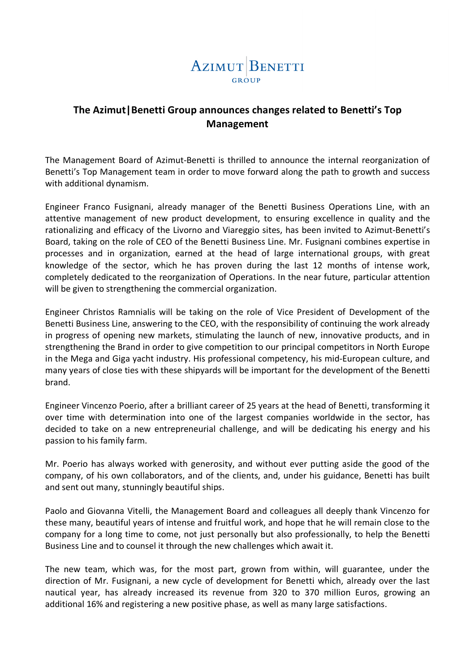

## **The Azimut|Benetti Group announces changes related to Benetti's Top Management**

The Management Board of Azimut-Benetti is thrilled to announce the internal reorganization of Benetti's Top Management team in order to move forward along the path to growth and success with additional dynamism.

Engineer Franco Fusignani, already manager of the Benetti Business Operations Line, with an attentive management of new product development, to ensuring excellence in quality and the rationalizing and efficacy of the Livorno and Viareggio sites, has been invited to Azimut-Benetti's Board, taking on the role of CEO of the Benetti Business Line. Mr. Fusignani combines expertise in processes and in organization, earned at the head of large international groups, with great knowledge of the sector, which he has proven during the last 12 months of intense work, completely dedicated to the reorganization of Operations. In the near future, particular attention will be given to strengthening the commercial organization.

Engineer Christos Ramnialis will be taking on the role of Vice President of Development of the Benetti Business Line, answering to the CEO, with the responsibility of continuing the work already in progress of opening new markets, stimulating the launch of new, innovative products, and in strengthening the Brand in order to give competition to our principal competitors in North Europe in the Mega and Giga yacht industry. His professional competency, his mid-European culture, and many years of close ties with these shipyards will be important for the development of the Benetti brand.

Engineer Vincenzo Poerio, after a brilliant career of 25 years at the head of Benetti, transforming it over time with determination into one of the largest companies worldwide in the sector, has decided to take on a new entrepreneurial challenge, and will be dedicating his energy and his passion to his family farm.

Mr. Poerio has always worked with generosity, and without ever putting aside the good of the company, of his own collaborators, and of the clients, and, under his guidance, Benetti has built and sent out many, stunningly beautiful ships.

Paolo and Giovanna Vitelli, the Management Board and colleagues all deeply thank Vincenzo for these many, beautiful years of intense and fruitful work, and hope that he will remain close to the company for a long time to come, not just personally but also professionally, to help the Benetti Business Line and to counsel it through the new challenges which await it.

The new team, which was, for the most part, grown from within, will guarantee, under the direction of Mr. Fusignani, a new cycle of development for Benetti which, already over the last nautical year, has already increased its revenue from 320 to 370 million Euros, growing an additional 16% and registering a new positive phase, as well as many large satisfactions.